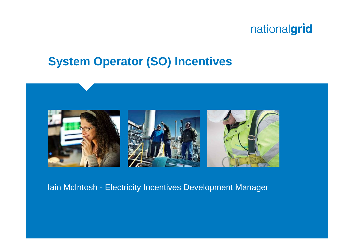### **System Operator (SO) Incentives**



### Iain McIntosh - Electricity Incentives Development Manager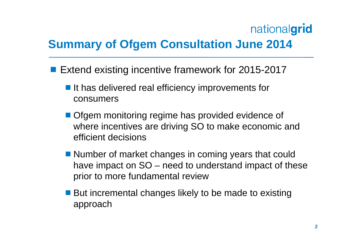### **Summary of Ofgem Consultation June 2014**

- Extend existing incentive framework for 2015-2017
	- It has delivered real efficiency improvements for consumers
	- Ofgem monitoring regime has provided evidence of where incentives are driving SO to make economic and efficient decisions
	- Number of market changes in coming years that could have impact on SO – need to understand impact of these prior to more fundamental review
	- But incremental changes likely to be made to existing approach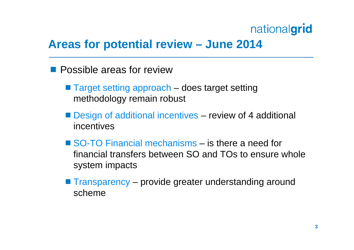### **Areas for potential review – June 2014**

- **Possible areas for review** 
	- Target setting approach does target setting methodology remain robust
	- Design of additional incentives review of 4 additional incentives
	- SO-TO Financial mechanisms is there a need for financial transfers between SO and TOs to ensure whole system impacts
	- **Transparency** provide greater understanding around scheme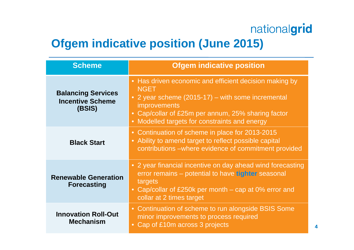### **Ofgem indicative position (June 2015)**

| <b>Scheme</b>                                                  | <b>Ofgem indicative position</b>                                                                                                                                                                                                                                      |
|----------------------------------------------------------------|-----------------------------------------------------------------------------------------------------------------------------------------------------------------------------------------------------------------------------------------------------------------------|
| <b>Balancing Services</b><br><b>Incentive Scheme</b><br>(BSIS) | • Has driven economic and efficient decision making by<br><b>NGET</b><br>2 year scheme $(2015-17)$ – with some incremental<br>$\bullet$<br><i>improvements</i><br>• Cap/collar of £25m per annum, 25% sharing factor<br>• Modelled targets for constraints and energy |
| <b>Black Start</b>                                             | • Continuation of scheme in place for 2013-2015<br>Ability to amend target to reflect possible capital<br>$\bullet$<br>contributions –where evidence of commitment provided                                                                                           |
| <b>Renewable Generation</b><br><b>Forecasting</b>              | • 2 year financial incentive on day ahead wind forecasting<br>error remains – potential to have tighter seasonal<br>targets<br>Cap/collar of £250k per month $-$ cap at 0% error and<br>$\bullet$<br>collar at 2 times target                                         |
| <b>Innovation Roll-Out</b><br><b>Mechanism</b>                 | • Continuation of scheme to run alongside BSIS Some<br>minor improvements to process required<br>Cap of £10m across 3 projects                                                                                                                                        |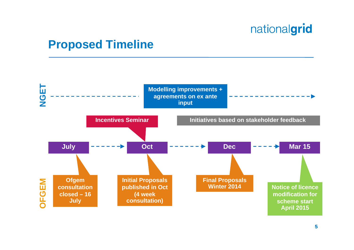### **Proposed Timeline**

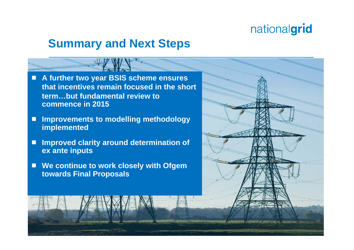### **Summary and Next Steps**

- A further two year BSIS scheme ensures **that incentives remain focused in the short term…but fundamental review to commence in 2015**
- $\Box$  **Improvements to modelling methodology implemented**
- $\Box$  **Improved clarity around determination of ex ante inputs**
- $\blacksquare$  . **We continue to work closely with Ofgem towards Final Proposals**

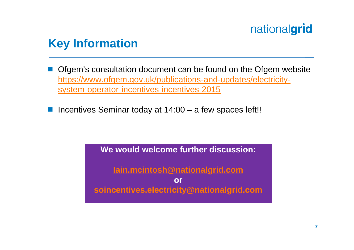### **Key Information**

- **Contract Contract Contract Contract Contract Contract Contract Contract Contract Contract Contract Contract Co**  Ofgem's consultation document can be found on the Ofgem website https://www.ofgem.gov.uk/publications-and-updates/electricitysystem-operator-incentives-incentives-2015
- **Contract Contract Contract Contract Contract Contract Contract Contract Contract Contract Contract Contract Co** Incentives Seminar today at 14:00 – a few spaces left!!

**We would welcome further discussion: Iain.mcintosh@nationalgrid.com or soincentives.electricity@nationalgrid.com**